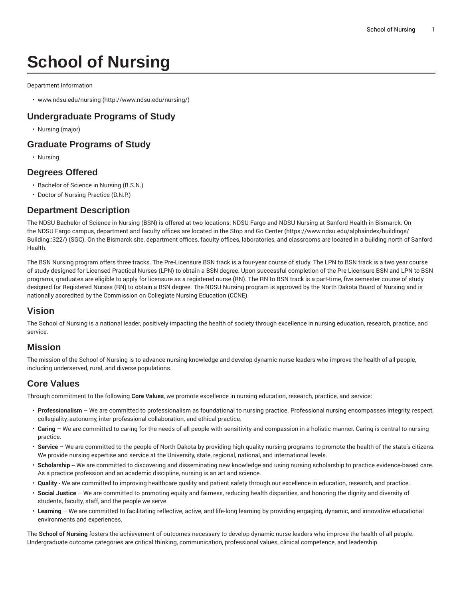# **School of Nursing**

Department Information

• [www.ndsu.edu/nursing](http://www.ndsu.edu/nursing/) [\(http://www.ndsu.edu/nursing/](http://www.ndsu.edu/nursing/))

## **Undergraduate Programs of Study**

• Nursing (major)

### **Graduate Programs of Study**

• Nursing

#### **Degrees Offered**

- Bachelor of Science in Nursing (B.S.N.)
- Doctor of Nursing Practice (D.N.P.)

#### **Department Description**

The NDSU Bachelor of Science in Nursing (BSN) is offered at two locations: NDSU Fargo and NDSU Nursing at Sanford Health in Bismarck. On the NDSU Fargo campus, department and faculty offices are located in the [Stop and Go Center](https://www.ndsu.edu/alphaindex/buildings/Building::322/) ([https://www.ndsu.edu/alphaindex/buildings/](https://www.ndsu.edu/alphaindex/buildings/Building::322/) [Building::322/](https://www.ndsu.edu/alphaindex/buildings/Building::322/)) (SGC). On the Bismarck site, department offices, faculty offices, laboratories, and classrooms are located in a building north of Sanford Health.

The BSN Nursing program offers three tracks. The Pre-Licensure BSN track is a four-year course of study. The LPN to BSN track is a two year course of study designed for Licensed Practical Nurses (LPN) to obtain a BSN degree. Upon successful completion of the Pre-Licensure BSN and LPN to BSN programs, graduates are eligible to apply for licensure as a registered nurse (RN). The RN to BSN track is a part-time, five semester course of study designed for Registered Nurses (RN) to obtain a BSN degree. The NDSU Nursing program is approved by the North Dakota Board of Nursing and is nationally accredited by the Commission on Collegiate Nursing Education (CCNE).

## **Vision**

The School of Nursing is a national leader, positively impacting the health of society through excellence in nursing education, research, practice, and service.

#### **Mission**

The mission of the School of Nursing is to advance nursing knowledge and develop dynamic nurse leaders who improve the health of all people, including underserved, rural, and diverse populations.

## **Core Values**

Through commitment to the following **Core Values**, we promote excellence in nursing education, research, practice, and service:

- **Professionalism** We are committed to professionalism as foundational to nursing practice. Professional nursing encompasses integrity, respect, collegiality, autonomy, inter-professional collaboration, and ethical practice.
- **Caring** We are committed to caring for the needs of all people with sensitivity and compassion in a holistic manner. Caring is central to nursing practice.
- **Service** We are committed to the people of North Dakota by providing high quality nursing programs to promote the health of the state's citizens. We provide nursing expertise and service at the University, state, regional, national, and international levels.
- Scholarship -- We are committed to discovering and disseminating new knowledge and using nursing scholarship to practice evidence-based care. As a practice profession and an academic discipline, nursing is an art and science.
- **Quality** We are committed to improving healthcare quality and patient safety through our excellence in education, research, and practice.
- **Social Justice** We are committed to promoting equity and fairness, reducing health disparities, and honoring the dignity and diversity of students, faculty, staff, and the people we serve.
- **Learning** We are committed to facilitating reflective, active, and life-long learning by providing engaging, dynamic, and innovative educational environments and experiences.

The **School of Nursing** fosters the achievement of outcomes necessary to develop dynamic nurse leaders who improve the health of all people. Undergraduate outcome categories are critical thinking, communication, professional values, clinical competence, and leadership.